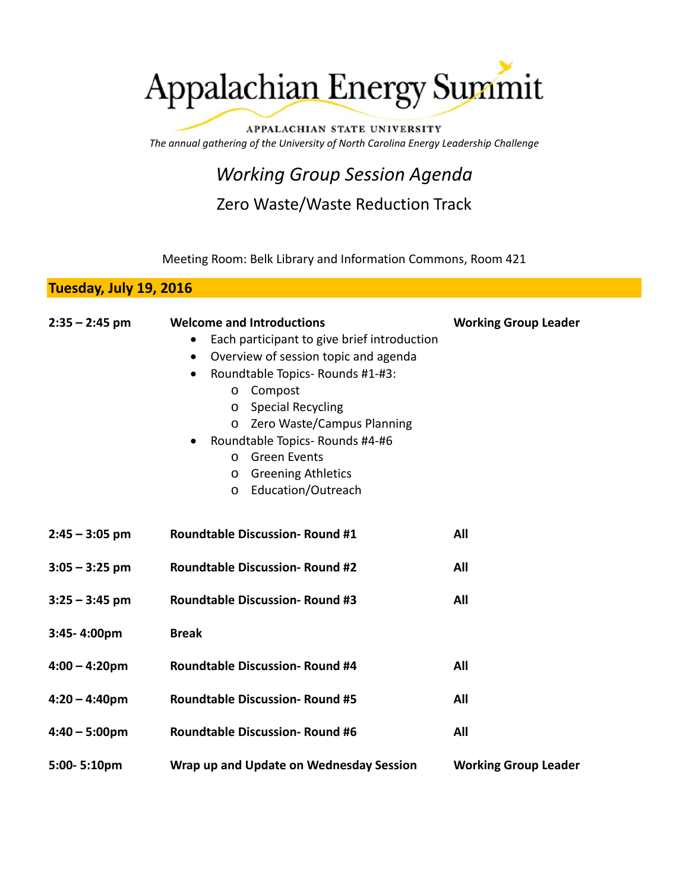# Appalachian Energy Summit

APPALACHIAN STATE UNIVERSITY *The annual gathering of the University of North Carolina Energy Leadership Challenge*

## *Working Group Session Agenda*

### Zero Waste/Waste Reduction Track

Meeting Room: Belk Library and Information Commons, Room 421

#### **Tuesday, July 19, 2016**

| $2:35 - 2:45$ pm | <b>Welcome and Introductions</b>                  | <b>Working Group Leader</b> |
|------------------|---------------------------------------------------|-----------------------------|
|                  | Each participant to give brief introduction       |                             |
|                  | Overview of session topic and agenda<br>$\bullet$ |                             |
|                  | Roundtable Topics-Rounds #1-#3:<br>$\bullet$      |                             |
|                  | Compost<br>$\circ$                                |                             |
|                  | o Special Recycling                               |                             |
|                  | o Zero Waste/Campus Planning                      |                             |
|                  | Roundtable Topics-Rounds #4-#6<br>$\bullet$       |                             |
|                  | o Green Events                                    |                             |
|                  | o Greening Athletics                              |                             |
|                  | Education/Outreach<br>$\circ$                     |                             |
| $2:45 - 3:05$ pm | <b>Roundtable Discussion- Round #1</b>            | All                         |
| $3:05 - 3:25$ pm | <b>Roundtable Discussion- Round #2</b>            | All                         |
| $3:25 - 3:45$ pm | <b>Roundtable Discussion- Round #3</b>            | All                         |
| 3:45-4:00pm      | <b>Break</b>                                      |                             |
| $4:00 - 4:20$ pm | <b>Roundtable Discussion- Round #4</b>            | All                         |
| $4:20 - 4:40$ pm | <b>Roundtable Discussion- Round #5</b>            | All                         |
| $4:40 - 5:00$ pm | <b>Roundtable Discussion- Round #6</b>            | All                         |
| 5:00-5:10pm      | Wrap up and Update on Wednesday Session           | <b>Working Group Leader</b> |